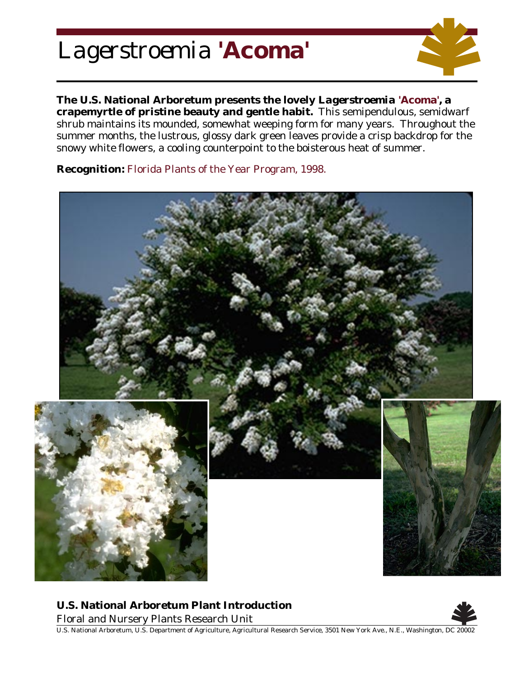## *Lagerstroemia* **'Acoma'**



**The U.S. National Arboretum presents the lovely** *Lagerstroemia* **'Acoma', a crapemyrtle of pristine beauty and gentle habit.** This semipendulous, semidwarf shrub maintains its mounded, somewhat weeping form for many years. Throughout the summer months, the lustrous, glossy dark green leaves provide a crisp backdrop for the snowy white flowers, a cooling counterpoint to the boisterous heat of summer.

**Recognition:** Florida Plants of the Year Program, 1998.



**U.S. National Arboretum Plant Introduction**

Floral and Nursery Plants Research Unit



U.S. National Arboretum, U.S. Department of Agriculture, Agricultural Research Service, 3501 New York Ave., N.E., Washington, DC 20002